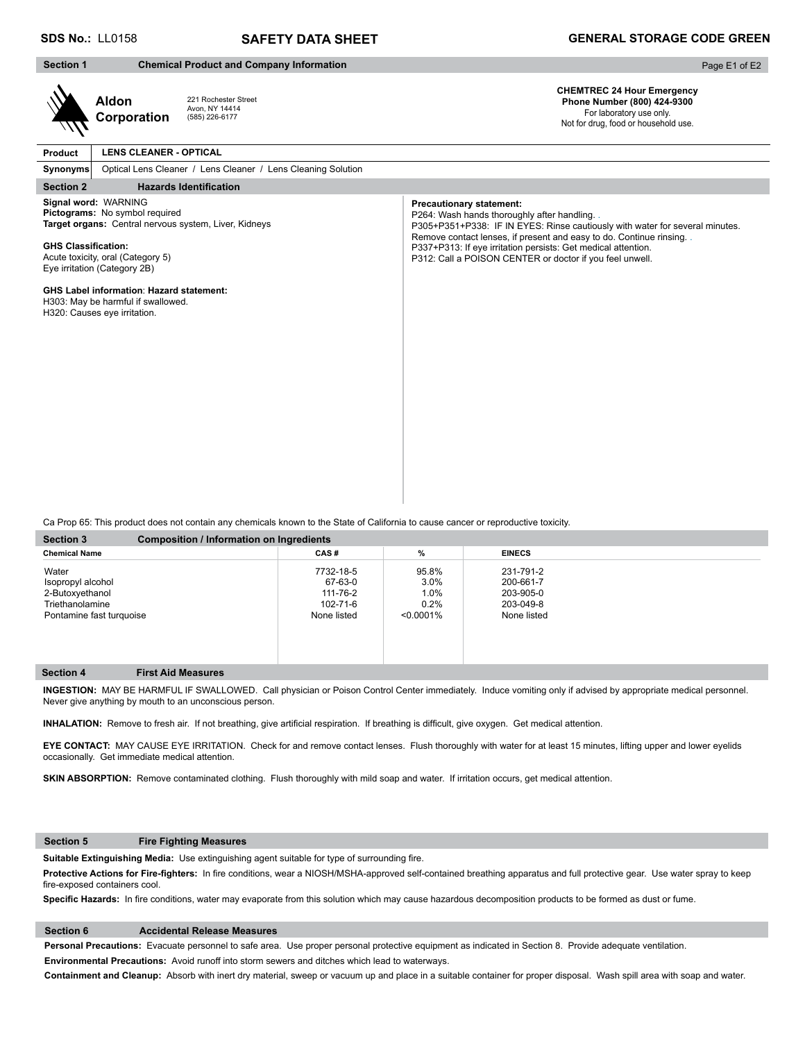Page E1 of E2

| Section |  |
|---------|--|

# **Section 1 Chemical Product and Company Information**

**Aldon**

**Corporation** 221 Rochester Street Avon, NY 14414 (585) 226-6177

**CHEMTREC 24 Hour Emergency Phone Number (800) 424-9300**  For laboratory use only. Not for drug, food or household use.

#### **Product Synonyms LENS CLEANER - OPTICAL** Optical Lens Cleaner / Lens Cleaner / Lens Cleaning Solution

## **Section 2 Hazards Identification**

**Signal word:** WARNING **Pictograms:** No symbol required **Target organs:** Central nervous system, Liver, Kidneys

#### **GHS Classification:**

Acute toxicity, oral (Category 5) Eye irritation (Category 2B)

#### **GHS Label information**: **Hazard statement:**

H303: May be harmful if swallowed. H320: Causes eye irritation.

#### **Precautionary statement:**

P264: Wash hands thoroughly after handling. P305+P351+P338: IF IN EYES: Rinse cautiously with water for several minutes. Remove contact lenses, if present and easy to do. Continue rinsing. . P337+P313: If eye irritation persists: Get medical attention. P312: Call a POISON CENTER or doctor if you feel unwell.

Ca Prop 65: This product does not contain any chemicals known to the State of California to cause cancer or reproductive toxicity.

| <b>Section 3</b><br><b>Composition / Information on Ingredients</b> |  |             |              |               |  |  |  |
|---------------------------------------------------------------------|--|-------------|--------------|---------------|--|--|--|
| <b>Chemical Name</b>                                                |  | CAS#        | %            | <b>EINECS</b> |  |  |  |
| Water                                                               |  | 7732-18-5   | 95.8%        | 231-791-2     |  |  |  |
| Isopropyl alcohol                                                   |  | 67-63-0     | 3.0%         | 200-661-7     |  |  |  |
| 2-Butoxyethanol                                                     |  | 111-76-2    | 1.0%         | 203-905-0     |  |  |  |
| Triethanolamine                                                     |  | 102-71-6    | 0.2%         | 203-049-8     |  |  |  |
| Pontamine fast turquoise                                            |  | None listed | $< 0.0001\%$ | None listed   |  |  |  |
|                                                                     |  |             |              |               |  |  |  |
|                                                                     |  |             |              |               |  |  |  |
|                                                                     |  |             |              |               |  |  |  |
|                                                                     |  |             |              |               |  |  |  |

#### **Section 4 First Aid Measures**

**INGESTION:** MAY BE HARMFUL IF SWALLOWED. Call physician or Poison Control Center immediately. Induce vomiting only if advised by appropriate medical personnel. Never give anything by mouth to an unconscious person.

**INHALATION:** Remove to fresh air. If not breathing, give artificial respiration. If breathing is difficult, give oxygen. Get medical attention.

**EYE CONTACT:** MAY CAUSE EYE IRRITATION. Check for and remove contact lenses. Flush thoroughly with water for at least 15 minutes, lifting upper and lower eyelids occasionally. Get immediate medical attention.

**SKIN ABSORPTION:** Remove contaminated clothing. Flush thoroughly with mild soap and water. If irritation occurs, get medical attention.

#### **Section 5 Fire Fighting Measures**

**Suitable Extinguishing Media:** Use extinguishing agent suitable for type of surrounding fire.

Protective Actions for Fire-fighters: In fire conditions, wear a NIOSH/MSHA-approved self-contained breathing apparatus and full protective gear. Use water spray to keep fire-exposed containers cool.

**Specific Hazards:** In fire conditions, water may evaporate from this solution which may cause hazardous decomposition products to be formed as dust or fume.

#### **Section 6 Accidental Release Measures**

**Personal Precautions:** Evacuate personnel to safe area. Use proper personal protective equipment as indicated in Section 8. Provide adequate ventilation. **Environmental Precautions:** Avoid runoff into storm sewers and ditches which lead to waterways.

**Containment and Cleanup:** Absorb with inert dry material, sweep or vacuum up and place in a suitable container for proper disposal. Wash spill area with soap and water.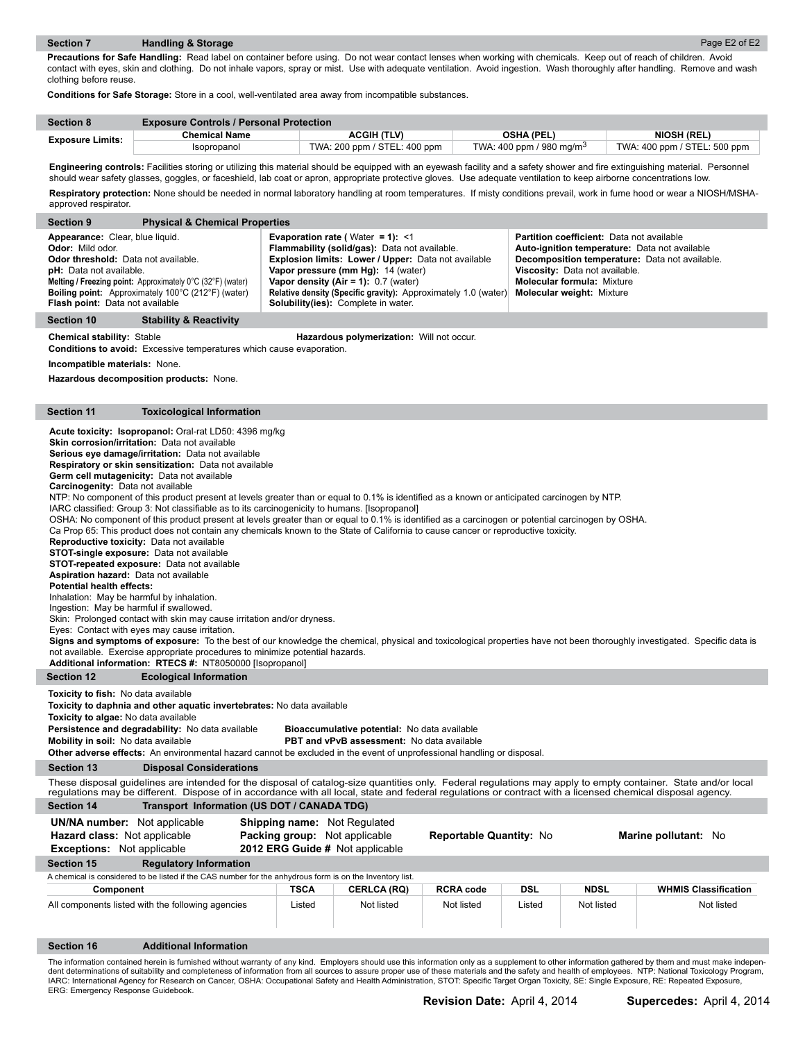### **Section 7 Handling & Storage**

F

Г

ı

**Precautions for Safe Handling:** Read label on container before using. Do not wear contact lenses when working with chemicals. Keep out of reach of children. Avoid contact with eyes, skin and clothing. Do not inhale vapors, spray or mist. Use with adequate ventilation. Avoid ingestion. Wash thoroughly after handling. Remove and wash clothing before reuse.

**Conditions for Safe Storage:** Store in a cool, well-ventilated area away from incompatible substances.

| <b>Section 8</b>        | <b>Exposure Controls / Personal Protection</b> |                              |                                      |                              |  |  |  |
|-------------------------|------------------------------------------------|------------------------------|--------------------------------------|------------------------------|--|--|--|
| <b>Exposure Limits:</b> | Chemical Name                                  | ACGIH (TLV)                  | <b>OSHA (PEL)</b>                    | <b>NIOSH (REL)</b>           |  |  |  |
|                         | Isopropanol                                    | TWA: 200 ppm / STEL: 400 ppm | TWA: 400 ppm / 980 mg/m <sup>3</sup> | TWA: 400 ppm / STEL: 500 ppm |  |  |  |

**Engineering controls:** Facilities storing or utilizing this material should be equipped with an eyewash facility and a safety shower and fire extinguishing material. Personnel should wear safety glasses, goggles, or faceshield, lab coat or apron, appropriate protective gloves. Use adequate ventilation to keep airborne concentrations low. **Respiratory protection:** None should be needed in normal laboratory handling at room temperatures. If misty conditions prevail, work in fume hood or wear a NIOSH/MSHA-

| approved respirator.                                                                                                                                            |                                                                                                                                                                                                                                                                                                                                                                                                                                                                                                                                                                                                                                                                                                                                                                                                                                                                                                                                                                                                                                                                                                                                                                                                                                                                                                                                                                                                                                                                                              |                                     |                                                                                                                                                                                                                                                                                                                                              |                         |            |                                                                                                                                                                                                              |                                                                                                                                                                                                     |
|-----------------------------------------------------------------------------------------------------------------------------------------------------------------|----------------------------------------------------------------------------------------------------------------------------------------------------------------------------------------------------------------------------------------------------------------------------------------------------------------------------------------------------------------------------------------------------------------------------------------------------------------------------------------------------------------------------------------------------------------------------------------------------------------------------------------------------------------------------------------------------------------------------------------------------------------------------------------------------------------------------------------------------------------------------------------------------------------------------------------------------------------------------------------------------------------------------------------------------------------------------------------------------------------------------------------------------------------------------------------------------------------------------------------------------------------------------------------------------------------------------------------------------------------------------------------------------------------------------------------------------------------------------------------------|-------------------------------------|----------------------------------------------------------------------------------------------------------------------------------------------------------------------------------------------------------------------------------------------------------------------------------------------------------------------------------------------|-------------------------|------------|--------------------------------------------------------------------------------------------------------------------------------------------------------------------------------------------------------------|-----------------------------------------------------------------------------------------------------------------------------------------------------------------------------------------------------|
| <b>Section 9</b>                                                                                                                                                | <b>Physical &amp; Chemical Properties</b>                                                                                                                                                                                                                                                                                                                                                                                                                                                                                                                                                                                                                                                                                                                                                                                                                                                                                                                                                                                                                                                                                                                                                                                                                                                                                                                                                                                                                                                    |                                     |                                                                                                                                                                                                                                                                                                                                              |                         |            |                                                                                                                                                                                                              |                                                                                                                                                                                                     |
| Appearance: Clear, blue liquid.<br><b>Odor:</b> Mild odor.<br>Odor threshold: Data not available.<br>pH: Data not available.<br>Flash point: Data not available | Melting / Freezing point: Approximately 0°C (32°F) (water)<br>Boiling point: Approximately 100°C (212°F) (water)                                                                                                                                                                                                                                                                                                                                                                                                                                                                                                                                                                                                                                                                                                                                                                                                                                                                                                                                                                                                                                                                                                                                                                                                                                                                                                                                                                             |                                     | <b>Evaporation rate (</b> Water = $1$ ): <1<br>Flammability (solid/gas): Data not available.<br>Explosion limits: Lower / Upper: Data not available<br>Vapor pressure (mm Hg): 14 (water)<br>Vapor density (Air = 1): $0.7$ (water)<br>Relative density (Specific gravity): Approximately 1.0 (water)<br>Solubility(ies): Complete in water. |                         |            | Partition coefficient: Data not available<br><b>Auto-ignition temperature:</b> Data not available<br>Viscosity: Data not available.<br><b>Molecular formula: Mixture</b><br><b>Molecular weight: Mixture</b> | Decomposition temperature: Data not available.                                                                                                                                                      |
| <b>Section 10</b>                                                                                                                                               | <b>Stability &amp; Reactivity</b>                                                                                                                                                                                                                                                                                                                                                                                                                                                                                                                                                                                                                                                                                                                                                                                                                                                                                                                                                                                                                                                                                                                                                                                                                                                                                                                                                                                                                                                            |                                     |                                                                                                                                                                                                                                                                                                                                              |                         |            |                                                                                                                                                                                                              |                                                                                                                                                                                                     |
|                                                                                                                                                                 | <b>Chemical stability: Stable</b><br>Hazardous polymerization: Will not occur.<br><b>Conditions to avoid:</b> Excessive temperatures which cause evaporation.<br>Incompatible materials: None.<br>Hazardous decomposition products: None.                                                                                                                                                                                                                                                                                                                                                                                                                                                                                                                                                                                                                                                                                                                                                                                                                                                                                                                                                                                                                                                                                                                                                                                                                                                    |                                     |                                                                                                                                                                                                                                                                                                                                              |                         |            |                                                                                                                                                                                                              |                                                                                                                                                                                                     |
| <b>Section 11</b>                                                                                                                                               | <b>Toxicological Information</b>                                                                                                                                                                                                                                                                                                                                                                                                                                                                                                                                                                                                                                                                                                                                                                                                                                                                                                                                                                                                                                                                                                                                                                                                                                                                                                                                                                                                                                                             |                                     |                                                                                                                                                                                                                                                                                                                                              |                         |            |                                                                                                                                                                                                              |                                                                                                                                                                                                     |
| not available. Exercise appropriate procedures to minimize potential hazards.<br>Additional information: RTECS #: NT8050000 [Isopropanol]                       | Acute toxicity: Isopropanol: Oral-rat LD50: 4396 mg/kg<br>Skin corrosion/irritation: Data not available<br>Serious eye damage/irritation: Data not available<br><b>Respiratory or skin sensitization:</b> Data not available<br>Germ cell mutagenicity: Data not available<br><b>Carcinogenity:</b> Data not available<br>NTP: No component of this product present at levels greater than or equal to 0.1% is identified as a known or anticipated carcinogen by NTP.<br>IARC classified: Group 3: Not classifiable as to its carcinogenicity to humans. [Isopropanol]<br>OSHA: No component of this product present at levels greater than or equal to 0.1% is identified as a carcinogen or potential carcinogen by OSHA.<br>Ca Prop 65: This product does not contain any chemicals known to the State of California to cause cancer or reproductive toxicity.<br>Reproductive toxicity: Data not available<br><b>STOT-single exposure:</b> Data not available<br>STOT-repeated exposure: Data not available<br>Aspiration hazard: Data not available<br><b>Potential health effects:</b><br>Inhalation: May be harmful by inhalation.<br>Ingestion: May be harmful if swallowed.<br>Skin: Prolonged contact with skin may cause irritation and/or dryness.<br>Eyes: Contact with eyes may cause irritation.<br>Signs and symptoms of exposure: To the best of our knowledge the chemical, physical and toxicological properties have not been thoroughly investigated. Specific data is |                                     |                                                                                                                                                                                                                                                                                                                                              |                         |            |                                                                                                                                                                                                              |                                                                                                                                                                                                     |
| <b>Section 12</b>                                                                                                                                               | <b>Ecological Information</b>                                                                                                                                                                                                                                                                                                                                                                                                                                                                                                                                                                                                                                                                                                                                                                                                                                                                                                                                                                                                                                                                                                                                                                                                                                                                                                                                                                                                                                                                |                                     |                                                                                                                                                                                                                                                                                                                                              |                         |            |                                                                                                                                                                                                              |                                                                                                                                                                                                     |
| <b>Toxicity to fish:</b> No data available<br>Toxicity to algae: No data available<br>Mobility in soil: No data available                                       | Toxicity to daphnia and other aquatic invertebrates: No data available<br>Persistence and degradability: No data available<br>Other adverse effects: An environmental hazard cannot be excluded in the event of unprofessional handling or disposal.                                                                                                                                                                                                                                                                                                                                                                                                                                                                                                                                                                                                                                                                                                                                                                                                                                                                                                                                                                                                                                                                                                                                                                                                                                         |                                     | Bioaccumulative potential: No data available<br>PBT and vPvB assessment: No data available                                                                                                                                                                                                                                                   |                         |            |                                                                                                                                                                                                              |                                                                                                                                                                                                     |
| <b>Section 13</b>                                                                                                                                               | <b>Disposal Considerations</b>                                                                                                                                                                                                                                                                                                                                                                                                                                                                                                                                                                                                                                                                                                                                                                                                                                                                                                                                                                                                                                                                                                                                                                                                                                                                                                                                                                                                                                                               |                                     |                                                                                                                                                                                                                                                                                                                                              |                         |            |                                                                                                                                                                                                              |                                                                                                                                                                                                     |
|                                                                                                                                                                 | These disposal guidelines are intended for the disposal of catalog-size quantities only. Federal regulations may apply to empty container. State and/or local<br>regulations may be different. Dispose of in accordance with all local, state and federal regulations or contract with a licensed chemical disposal agency.                                                                                                                                                                                                                                                                                                                                                                                                                                                                                                                                                                                                                                                                                                                                                                                                                                                                                                                                                                                                                                                                                                                                                                  |                                     |                                                                                                                                                                                                                                                                                                                                              |                         |            |                                                                                                                                                                                                              |                                                                                                                                                                                                     |
| <b>Section 14</b>                                                                                                                                               | Transport Information (US DOT / CANADA TDG)                                                                                                                                                                                                                                                                                                                                                                                                                                                                                                                                                                                                                                                                                                                                                                                                                                                                                                                                                                                                                                                                                                                                                                                                                                                                                                                                                                                                                                                  |                                     |                                                                                                                                                                                                                                                                                                                                              |                         |            |                                                                                                                                                                                                              |                                                                                                                                                                                                     |
| <b>UN/NA number:</b> Not applicable                                                                                                                             |                                                                                                                                                                                                                                                                                                                                                                                                                                                                                                                                                                                                                                                                                                                                                                                                                                                                                                                                                                                                                                                                                                                                                                                                                                                                                                                                                                                                                                                                                              | <b>Shipping name: Not Requiated</b> |                                                                                                                                                                                                                                                                                                                                              |                         |            |                                                                                                                                                                                                              |                                                                                                                                                                                                     |
| <b>Hazard class: Not applicable</b>                                                                                                                             |                                                                                                                                                                                                                                                                                                                                                                                                                                                                                                                                                                                                                                                                                                                                                                                                                                                                                                                                                                                                                                                                                                                                                                                                                                                                                                                                                                                                                                                                                              | Packing group: Not applicable       |                                                                                                                                                                                                                                                                                                                                              | Reportable Quantity: No |            |                                                                                                                                                                                                              | Marine pollutant: No                                                                                                                                                                                |
| <b>Exceptions:</b> Not applicable                                                                                                                               |                                                                                                                                                                                                                                                                                                                                                                                                                                                                                                                                                                                                                                                                                                                                                                                                                                                                                                                                                                                                                                                                                                                                                                                                                                                                                                                                                                                                                                                                                              | 2012 ERG Guide # Not applicable     |                                                                                                                                                                                                                                                                                                                                              |                         |            |                                                                                                                                                                                                              |                                                                                                                                                                                                     |
| <b>Section 15</b>                                                                                                                                               | <b>Regulatory Information</b>                                                                                                                                                                                                                                                                                                                                                                                                                                                                                                                                                                                                                                                                                                                                                                                                                                                                                                                                                                                                                                                                                                                                                                                                                                                                                                                                                                                                                                                                |                                     |                                                                                                                                                                                                                                                                                                                                              |                         |            |                                                                                                                                                                                                              |                                                                                                                                                                                                     |
|                                                                                                                                                                 | A chemical is considered to be listed if the CAS number for the anhydrous form is on the Inventory list.                                                                                                                                                                                                                                                                                                                                                                                                                                                                                                                                                                                                                                                                                                                                                                                                                                                                                                                                                                                                                                                                                                                                                                                                                                                                                                                                                                                     |                                     |                                                                                                                                                                                                                                                                                                                                              |                         |            |                                                                                                                                                                                                              |                                                                                                                                                                                                     |
| Component                                                                                                                                                       |                                                                                                                                                                                                                                                                                                                                                                                                                                                                                                                                                                                                                                                                                                                                                                                                                                                                                                                                                                                                                                                                                                                                                                                                                                                                                                                                                                                                                                                                                              | <b>TSCA</b>                         | <b>CERLCA (RQ)</b>                                                                                                                                                                                                                                                                                                                           | <b>RCRA code</b>        | <b>DSL</b> | <b>NDSL</b>                                                                                                                                                                                                  | <b>WHMIS Classification</b>                                                                                                                                                                         |
|                                                                                                                                                                 | All components listed with the following agencies                                                                                                                                                                                                                                                                                                                                                                                                                                                                                                                                                                                                                                                                                                                                                                                                                                                                                                                                                                                                                                                                                                                                                                                                                                                                                                                                                                                                                                            | Listed                              | Not listed                                                                                                                                                                                                                                                                                                                                   | Not listed              | Listed     | Not listed                                                                                                                                                                                                   | Not listed                                                                                                                                                                                          |
| <b>Section 16</b>                                                                                                                                               | <b>Additional Information</b>                                                                                                                                                                                                                                                                                                                                                                                                                                                                                                                                                                                                                                                                                                                                                                                                                                                                                                                                                                                                                                                                                                                                                                                                                                                                                                                                                                                                                                                                |                                     |                                                                                                                                                                                                                                                                                                                                              |                         |            |                                                                                                                                                                                                              |                                                                                                                                                                                                     |
|                                                                                                                                                                 |                                                                                                                                                                                                                                                                                                                                                                                                                                                                                                                                                                                                                                                                                                                                                                                                                                                                                                                                                                                                                                                                                                                                                                                                                                                                                                                                                                                                                                                                                              |                                     |                                                                                                                                                                                                                                                                                                                                              |                         |            |                                                                                                                                                                                                              | The information contained herein is furnished without warranty of any kind. Employers should use this information only as a supplement to other information gathered by them and must make indepen- |

dent determinations of suitability and completeness of information from all sources to assure proper use of these materials and the safety and health of employees. NTP: National Toxicology Program, IARC: International Agency for Research on Cancer, OSHA: Occupational Safety and Health Administration, STOT: Specific Target Organ Toxicity, SE: Single Exposure, RE: Repeated Exposure, ERG: Emergency Response Guidebook.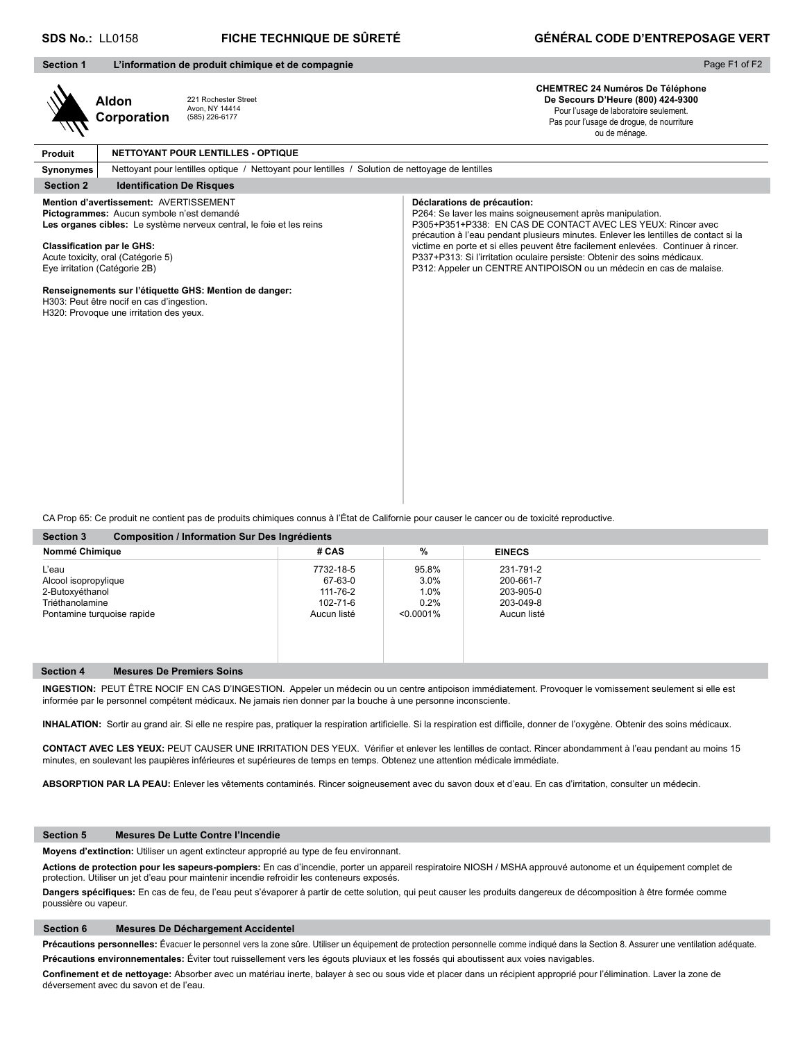| <b>SDS No.: LL0158</b>                                                                                   | FICHE TECHNIQUE DE SÛRETÉ                                                                                                                                                                                                                                                                                     | GÉNÉRAL CODE D'ENTREPOSAGE VERT                                                                                                                                                                                                                                                                                                                                                                                                                                                             |
|----------------------------------------------------------------------------------------------------------|---------------------------------------------------------------------------------------------------------------------------------------------------------------------------------------------------------------------------------------------------------------------------------------------------------------|---------------------------------------------------------------------------------------------------------------------------------------------------------------------------------------------------------------------------------------------------------------------------------------------------------------------------------------------------------------------------------------------------------------------------------------------------------------------------------------------|
| <b>Section 1</b>                                                                                         | L'information de produit chimique et de compagnie                                                                                                                                                                                                                                                             | Page F1 of F2                                                                                                                                                                                                                                                                                                                                                                                                                                                                               |
|                                                                                                          | 221 Rochester Street<br><b>Aldon</b><br>Avon, NY 14414<br>Corporation<br>(585) 226-6177                                                                                                                                                                                                                       | <b>CHEMTREC 24 Numéros De Téléphone</b><br>De Secours D'Heure (800) 424-9300<br>Pour l'usage de laboratoire seulement.<br>Pas pour l'usage de drogue, de nourriture<br>ou de ménage.                                                                                                                                                                                                                                                                                                        |
| <b>Produit</b>                                                                                           | <b>NETTOYANT POUR LENTILLES - OPTIQUE</b>                                                                                                                                                                                                                                                                     |                                                                                                                                                                                                                                                                                                                                                                                                                                                                                             |
| Synonymes                                                                                                | Nettoyant pour lentilles optique / Nettoyant pour lentilles / Solution de nettoyage de lentilles                                                                                                                                                                                                              |                                                                                                                                                                                                                                                                                                                                                                                                                                                                                             |
| <b>Section 2</b>                                                                                         | <b>Identification De Risques</b>                                                                                                                                                                                                                                                                              |                                                                                                                                                                                                                                                                                                                                                                                                                                                                                             |
| <b>Classification par le GHS:</b><br>Acute toxicity, oral (Catégorie 5)<br>Eye irritation (Catégorie 2B) | Mention d'avertissement: AVERTISSEMENT<br>Pictogrammes: Aucun symbole n'est demandé<br>Les organes cibles: Le système nerveux central, le foie et les reins<br>Renseignements sur l'étiquette GHS: Mention de danger:<br>H303: Peut être nocif en cas d'ingestion.<br>H320: Provoque une irritation des yeux. | Déclarations de précaution:<br>P264: Se laver les mains soigneusement après manipulation.<br>P305+P351+P338: EN CAS DE CONTACT AVEC LES YEUX: Rincer avec<br>précaution à l'eau pendant plusieurs minutes. Enlever les lentilles de contact si la<br>victime en porte et si elles peuvent être facilement enlevées. Continuer à rincer.<br>P337+P313: Si l'irritation oculaire persiste: Obtenir des soins médicaux.<br>P312: Appeler un CENTRE ANTIPOISON ou un médecin en cas de malaise. |

**Nommé Chimique**  $\begin{array}{ccccccc}\n & & & & & \n\end{array}$  **# CAS**  $\begin{array}{ccccccc}\n & & & \n\end{array}$  **EINECS Section 3 Composition / Information Sur Des Ingrédients** 

CA Prop 65: Ce produit ne contient pas de produits chimiques connus à l'État de Californie pour causer le cancer ou de toxicité reproductive.

|                            | $\pi \vee \pi \vee$ | 70           | _____       |  |
|----------------------------|---------------------|--------------|-------------|--|
| L'eau                      | 7732-18-5           | 95.8%        | 231-791-2   |  |
| Alcool isopropylique       | 67-63-0             | 3.0%         | 200-661-7   |  |
| 2-Butoxyéthanol            | 111-76-2            | 1.0%         | 203-905-0   |  |
| Triéthanolamine            | 102-71-6            | 0.2%         | 203-049-8   |  |
| Pontamine turquoise rapide | Aucun listé         | $< 0.0001\%$ | Aucun listé |  |
|                            |                     |              |             |  |
|                            |                     |              |             |  |
|                            |                     |              |             |  |
|                            |                     |              |             |  |

#### **Section 4 Mesures De Premiers Soins**

INGESTION: PEUT ÊTRE NOCIF EN CAS D'INGESTION. Appeler un médecin ou un centre antipoison immédiatement. Provoquer le vomissement seulement si elle est informée par le personnel compétent médicaux. Ne jamais rien donner par la bouche à une personne inconsciente.

INHALATION: Sortir au grand air. Si elle ne respire pas, pratiquer la respiration artificielle. Si la respiration est difficile, donner de l'oxygène. Obtenir des soins médicaux.

**CONTACT AVEC LES YEUX:** PEUT CAUSER UNE IRRITATION DES YEUX. Vérifier et enlever les lentilles de contact. Rincer abondamment à l'eau pendant au moins 15 minutes, en soulevant les paupières inférieures et supérieures de temps en temps. Obtenez une attention médicale immédiate.

**ABSORPTION PAR LA PEAU:** Enlever les vêtements contaminés. Rincer soigneusement avec du savon doux et d'eau. En cas d'irritation, consulter un médecin.

#### **Section 5 Mesures De Lutte Contre l'Incendie**

**Moyens d'extinction:** Utiliser un agent extincteur approprié au type de feu environnant.

**Actions de protection pour les sapeurs-pompiers:** En cas d'incendie, porter un appareil respiratoire NIOSH / MSHA approuvé autonome et un équipement complet de protection. Utiliser un jet d'eau pour maintenir incendie refroidir les conteneurs exposés.

**Dangers spécifiques:** En cas de feu, de l'eau peut s'évaporer à partir de cette solution, qui peut causer les produits dangereux de décomposition à être formée comme poussière ou vapeur.

#### **Section 6 Mesures De Déchargement Accidentel**

Précautions personnelles: Évacuer le personnel vers la zone sûre. Utiliser un équipement de protection personnelle comme indiqué dans la Section 8. Assurer une ventilation adéquate. **Précautions environnementales:** Éviter tout ruissellement vers les égouts pluviaux et les fossés qui aboutissent aux voies navigables.

**Confinement et de nettoyage:** Absorber avec un matériau inerte, balayer à sec ou sous vide et placer dans un récipient approprié pour l'élimination. Laver la zone de déversement avec du savon et de l'eau.